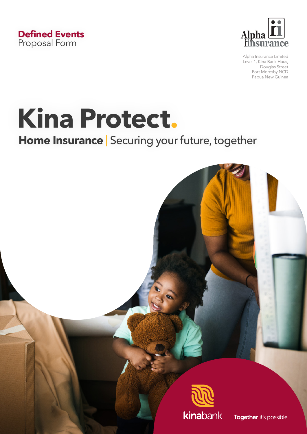



Alpha Insurance Limited Level 1, Kina Bank Haus, Douglas Street Port Moresby NCD Papua New Guinea

# **Kina Protect.**

## **Home Insurance** | Securing your future, together



Together it's possible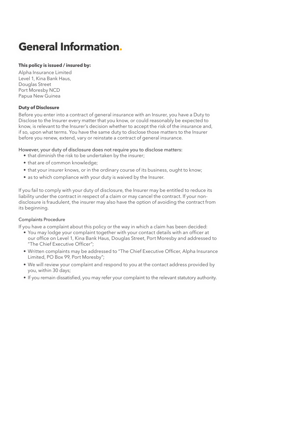## **General Information.**

#### **This policy is issued / insured by:**

Alpha Insurance Limited Level 1, Kina Bank Haus, Douglas Street Port Moresby NCD Papua New Guinea

#### **Duty of Disclosure**

Before you enter into a contract of general insurance with an Insurer, you have a Duty to Disclose to the Insurer every matter that you know, or could reasonably be expected to know, is relevant to the Insurer's decision whether to accept the risk of the insurance and, if so, upon what terms. You have the same duty to disclose those matters to the Insurer before you renew, extend, vary or reinstate a contract of general insurance.

#### However, your duty of disclosure does not require you to disclose matters:

- that diminish the risk to be undertaken by the insurer;
- that are of common knowledge;
- that your insurer knows, or in the ordinary course of its business, ought to know;
- as to which compliance with your duty is waived by the Insurer.

If you fail to comply with your duty of disclosure, the Insurer may be entitled to reduce its liability under the contract in respect of a claim or may cancel the contract. If your nondisclosure is fraudulent, the insurer may also have the option of avoiding the contract from its beginning.

#### Complaints Procedure

If you have a complaint about this policy or the way in which a claim has been decided:

- You may lodge your complaint together with your contact details with an officer at our office on Level 1, Kina Bank Haus, Douglas Street, Port Moresby and addressed to "The Chief Executive Officer";
- Written complaints may be addressed to "The Chief Executive Officer, Alpha Insurance Limited, PO Box 99, Port Moresby";
- We will review your complaint and respond to you at the contact address provided by you, within 30 days;
- If you remain dissatisfied, you may refer your complaint to the relevant statutory authority.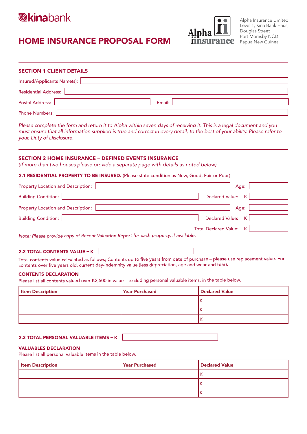

### HOME INSURANCE PROPOSAL FORM



| <b>SECTION 1 CLIENT DETAILS</b> |                                                                                                                |  |  |  |  |
|---------------------------------|----------------------------------------------------------------------------------------------------------------|--|--|--|--|
|                                 | Insured/Applicants Name(s): 2008 2012 2022 2023 2024 2022 2023 2024 2022 2023 2024 2022 2023 2024 20           |  |  |  |  |
|                                 | Residential Address: 2008 and 2008 and 2008 and 2008 and 2008 and 2008 and 2008 and 2008 and 2008 and 2008 and |  |  |  |  |
| Postal Address:                 | Email:                                                                                                         |  |  |  |  |
| Phone Numbers:                  |                                                                                                                |  |  |  |  |

*Please complete the form and return it to Alpha within seven days of receiving it. This is a legal document and you must ensure that all information supplied is true and correct in every detail, to the best of your ability. Please refer to your, Duty of Disclosure.* 

#### SECTION 2 HOME INSURANCE – DEFINED EVENTS INSURANCE

*(If more than two houses please provide a separate page with details as noted below)*

#### 2.1 RESIDENTIAL PROPERTY TO BE INSURED. (Please state condition as New, Good, Fair or Poor)

| <b>Property Location and Description:</b> | Age:                         |
|-------------------------------------------|------------------------------|
| <b>Building Condition:</b>                | Declared Value: K            |
| <b>Property Location and Description:</b> | Age: I                       |
| <b>Building Condition:</b> [              | Declared Value: K            |
|                                           | Total Declared Value: K<br>. |

*Note: Please provide copy of Recent Valuation Report for each property, if available.*

#### 2.2 TOTAL CONTENTS VALUE – K

Total contents value calculated as follows; Contents up to five years from date of purchase – please use replacement value. For contents over five years old, current day-indemnity value (less depreciation, age and wear and tear).

#### CONTENTS DECLARATION

Please list all contents valued over K2,500 in value – excluding personal valuable items, in the table below.

| <b>Item Description</b> | Year Purchased | Declared Value |
|-------------------------|----------------|----------------|
|                         |                | חי             |
|                         |                | ıκ             |
|                         |                | ١ĸ             |

#### 2.3 TOTAL PERSONAL VALUABLE ITEMS – K

#### VALUABLES DECLARATION

Please list all personal valuable items in the table below.

| <b>Item Description</b> | Year Purchased | <b>Declared Value</b> |
|-------------------------|----------------|-----------------------|
|                         |                |                       |
|                         |                |                       |
|                         |                |                       |